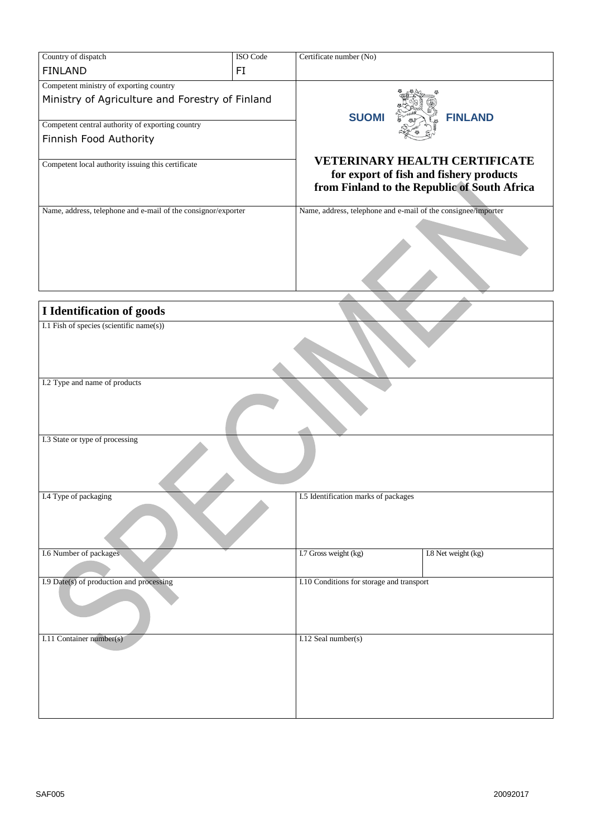| Country of dispatch                                           | ISO Code | Certificate number (No)                                       |                                              |  |
|---------------------------------------------------------------|----------|---------------------------------------------------------------|----------------------------------------------|--|
| <b>FINLAND</b>                                                | FI       |                                                               |                                              |  |
| Competent ministry of exporting country                       |          |                                                               |                                              |  |
| Ministry of Agriculture and Forestry of Finland               |          |                                                               |                                              |  |
|                                                               |          |                                                               |                                              |  |
| Competent central authority of exporting country              |          | <b>SUOM</b>                                                   | <b>FINLAND</b>                               |  |
| Finnish Food Authority                                        |          |                                                               |                                              |  |
|                                                               |          |                                                               |                                              |  |
| Competent local authority issuing this certificate            |          | <b>VETERINARY HEALTH CERTIFICATE</b>                          |                                              |  |
|                                                               |          | for export of fish and fishery products                       |                                              |  |
|                                                               |          |                                                               | from Finland to the Republic of South Africa |  |
| Name, address, telephone and e-mail of the consignor/exporter |          | Name, address, telephone and e-mail of the consignee/importer |                                              |  |
|                                                               |          |                                                               |                                              |  |
|                                                               |          |                                                               |                                              |  |
|                                                               |          |                                                               |                                              |  |
|                                                               |          |                                                               |                                              |  |
|                                                               |          |                                                               |                                              |  |
|                                                               |          |                                                               |                                              |  |
| I Identification of goods                                     |          |                                                               |                                              |  |
| I.1 Fish of species (scientific name(s))                      |          |                                                               |                                              |  |
|                                                               |          |                                                               |                                              |  |
|                                                               |          |                                                               |                                              |  |
|                                                               |          |                                                               |                                              |  |
| I.2 Type and name of products                                 |          |                                                               |                                              |  |
|                                                               |          |                                                               |                                              |  |
|                                                               |          |                                                               |                                              |  |
|                                                               |          |                                                               |                                              |  |
| I.3 State or type of processing                               |          |                                                               |                                              |  |
|                                                               |          |                                                               |                                              |  |
|                                                               |          |                                                               |                                              |  |
|                                                               |          |                                                               |                                              |  |
| I.4 Type of packaging                                         |          | I.5 Identification marks of packages                          |                                              |  |
|                                                               |          |                                                               |                                              |  |
|                                                               |          |                                                               |                                              |  |
|                                                               |          |                                                               |                                              |  |
| I.6 Number of packages                                        |          | I.7 Gross weight (kg)                                         | I.8 Net weight (kg)                          |  |
|                                                               |          |                                                               |                                              |  |
|                                                               |          | I.10 Conditions for storage and transport                     |                                              |  |
| I.9 Date(s) of production and processing                      |          |                                                               |                                              |  |
|                                                               |          |                                                               |                                              |  |
|                                                               |          |                                                               |                                              |  |
|                                                               |          |                                                               |                                              |  |
| I.11 Container number(s)                                      |          | I.12 Seal number(s)                                           |                                              |  |
|                                                               |          |                                                               |                                              |  |
|                                                               |          |                                                               |                                              |  |
|                                                               |          |                                                               |                                              |  |
|                                                               |          |                                                               |                                              |  |
|                                                               |          |                                                               |                                              |  |